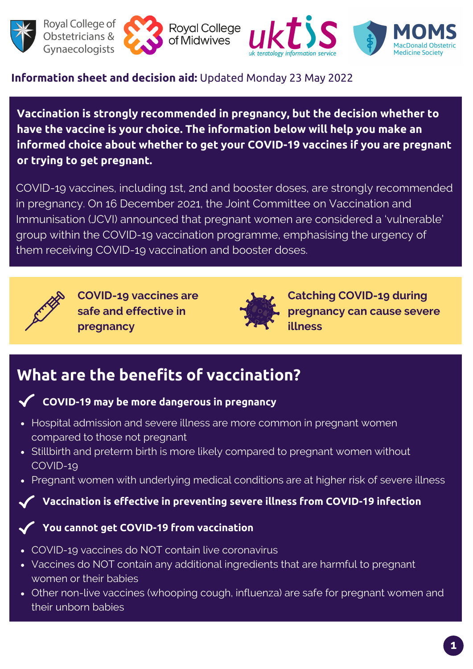



**Royal College** of Midwives



## **Information sheet and decision aid:** Updated Monday 23 May 2022

**Vaccination is strongly recommended in pregnancy, but the decision whether to have the vaccine is your choice. The information below will help you make an informed choice about whether to get your COVID-19 vaccines if you are pregnant or trying to get pregnant.**

COVID-19 vaccines, including 1st, 2nd and booster doses, are strongly recommended in pregnancy. On 16 December 2021, the Joint Committee on Vaccination and Immunisation (JCVI) announced that pregnant women are considered a 'vulnerable' group within the COVID-19 vaccination programme, emphasising the urgency of them receiving COVID-19 vaccination and booster doses.



**COVID-19 vaccines are safe and effective in pregnancy**



**Catching COVID-19 during pregnancy can cause severe illness**

## **What are the benefits of vaccination?**

### **COVID-19 may be more dangerous in pregnancy**

- Hospital admission and severe illness are more common in pregnant women compared to those not pregnant
- Stillbirth and preterm birth is more likely compared to pregnant women without COVID-19
- Pregnant women with underlying medical conditions are at higher risk of severe illness

### **Vaccination is effective in preventing severe illness from COVID-19 infection**

### **You cannot get COVID-19 from vaccination**

- COVID-19 vaccines do NOT contain live coronavirus
- Vaccines do NOT contain any additional ingredients that are harmful to pregnant women or their babies
- Other non-live vaccines (whooping cough, influenza) are safe for pregnant women and their unborn babies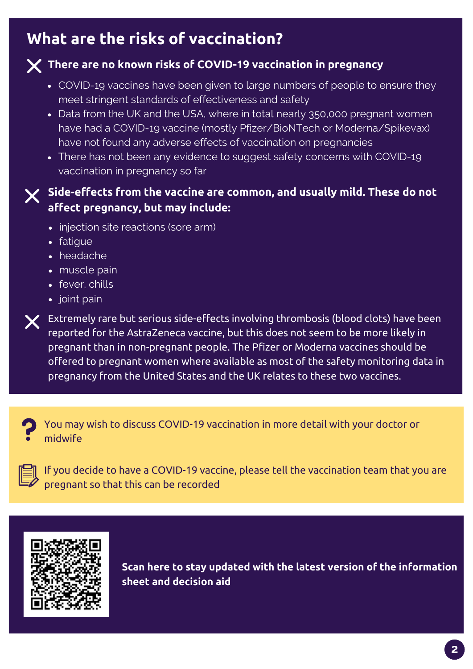## **What are the risks of vaccination?**

## **There are no known risks of COVID-19 vaccination in pregnancy**

- COVID-19 vaccines have been given to large numbers of people to ensure they meet stringent standards of effectiveness and safety
- Data from the UK and the USA, where in total nearly 350,000 pregnant women have had a COVID-19 vaccine (mostly Pfizer/BioNTech or Moderna/Spikevax) have not found any adverse effects of vaccination on pregnancies
- There has not been any evidence to suggest safety concerns with COVID-19 vaccination in pregnancy so far

## **Side-effects from the vaccine are common, and usually mild. These do not affect pregnancy, but may include:**

- injection site reactions (sore arm)
- fatigue
- headache
- muscle pain
- fever, chills
- joint pain

 $\bm{\times}$  Extremely rare but serious side-effects involving thrombosis (blood clots) have been reported for the AstraZeneca vaccine, but this does not seem to be more likely in pregnant than in non-pregnant people. The Pfizer or Moderna vaccines should be offered to pregnant women where available as most of the safety monitoring data in pregnancy from the United States and the UK relates to these two vaccines.



You may wish to discuss COVID-19 vaccination in more detail with your doctor or midwife



If you decide to have a COVID-19 vaccine, please tell the vaccination team that you are pregnant so that this can be recorded



**Scan here to stay updated with the latest version of the information sheet and decision aid**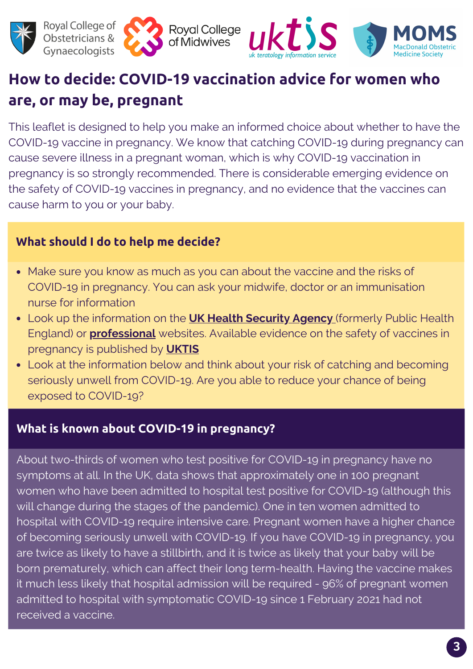





# **How to decide: COVID-19 vaccination advice for women who are, or may be, pregnant**

This leaflet is designed to help you make an informed choice about whether to have the COVID-19 vaccine in pregnancy. We know that catching COVID-19 during pregnancy can cause severe illness in a pregnant woman, which is why COVID-19 vaccination in pregnancy is so strongly recommended. There is considerable emerging evidence on the safety of COVID-19 vaccines in pregnancy, and no evidence that the vaccines can cause harm to you or your baby.

## **What should I do to help me decide?**

- Make sure you know as much as you can about the vaccine and the risks of COVID-19 in pregnancy. You can ask your midwife, doctor or an immunisation nurse for information
- Look up the information on the **UK Health [Security](https://www.gov.uk/government/organisations/uk-health-security-agency) Agency** (formerly Public Health England) or **[professional](http://www.rcog.org.uk/coronavirus-pregnancy)** websites. Available evidence on the safety of vaccines in pregnancy is published by **[UKTIS](https://www.medicinesinpregnancy.org/bumps/monographs/USE-OF-NON-LIVE-VACCINES-IN-PREGNANCY/)**
- Look at the information below and think about your risk of catching and becoming seriously unwell from COVID-19. Are you able to reduce your chance of being exposed to COVID-19?

## **What is known about COVID-19 in pregnancy?**

About two-thirds of women who test positive for COVID-19 in pregnancy have no symptoms at all. In the UK, data shows that approximately one in 100 pregnant women who have been admitted to hospital test positive for COVID-19 (although this will change during the stages of the pandemic). One in ten women admitted to hospital with COVID-19 require intensive care. Pregnant women have a higher chance of becoming seriously unwell with COVID-19. If you have COVID-19 in pregnancy, you are twice as likely to have a stillbirth, and it is twice as likely that your baby will be born prematurely, which can affect their long term-health. Having the vaccine makes it much less likely that hospital admission will be required - 96% of pregnant women admitted to hospital with symptomatic COVID-19 since 1 February 2021 had not received a vaccine.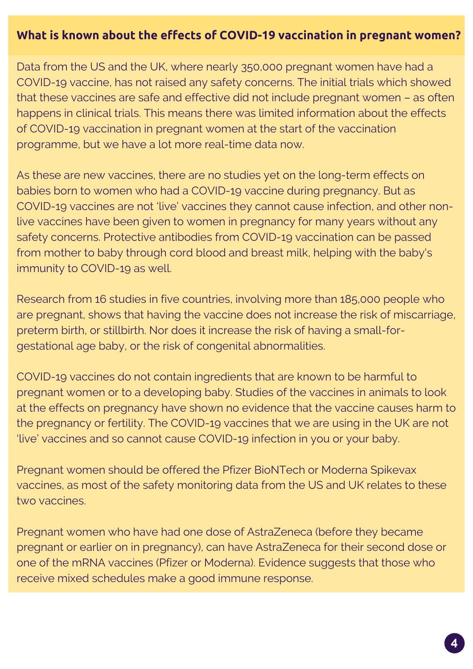### **What is known about the effects of COVID-19 vaccination in pregnant women?**

Data from the US and the UK, where nearly 350,000 pregnant women have had a COVID-19 vaccine, has not raised any safety concerns. The initial trials which showed that these vaccines are safe and effective did not include pregnant women – as often happens in clinical trials. This means there was limited information about the effects of COVID-19 vaccination in pregnant women at the start of the vaccination programme, but we have a lot more real-time data now.

As these are new vaccines, there are no studies yet on the long-term effects on babies born to women who had a COVID-19 vaccine during pregnancy. But as COVID-19 vaccines are not 'live' vaccines they cannot cause infection, and other nonlive vaccines have been given to women in pregnancy for many years without any safety concerns. Protective antibodies from COVID-19 vaccination can be passed from mother to baby through cord blood and breast milk, helping with the baby's immunity to COVID-19 as well.

Research from 16 studies in five countries, involving more than 185,000 people who are pregnant, shows that having the vaccine does not increase the risk of miscarriage, preterm birth, or stillbirth. Nor does it increase the risk of having a small-forgestational age baby, or the risk of congenital abnormalities.

COVID-19 vaccines do not contain ingredients that are known to be harmful to pregnant women or to a developing baby. Studies of the vaccines in animals to look at the effects on pregnancy have shown no evidence that the vaccine causes harm to the pregnancy or fertility. The COVID-19 vaccines that we are using in the UK are not 'live' vaccines and so cannot cause COVID-19 infection in you or your baby.

Pregnant women should be offered the Pfizer BioNTech or Moderna Spikevax vaccines, as most of the safety monitoring data from the US and UK relates to these two vaccines.

Pregnant women who have had one dose of AstraZeneca (before they became pregnant or earlier on in pregnancy), can have AstraZeneca for their second dose or one of the mRNA vaccines (Pfizer or Moderna). Evidence suggests that those who receive mixed schedules make a good immune response.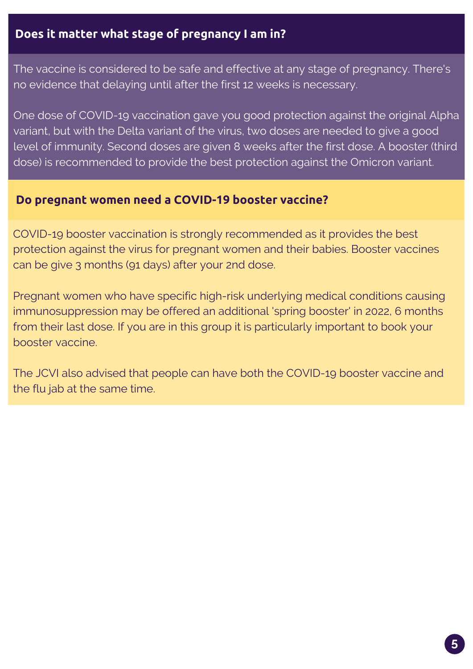## **Does it matter what stage of pregnancy I am in?**

The vaccine is considered to be safe and effective at any stage of pregnancy. There's no evidence that delaying until after the first 12 weeks is necessary.

One dose of COVID-19 vaccination gave you good protection against the original Alpha variant, but with the Delta variant of the virus, two doses are needed to give a good level of immunity. Second doses are given 8 weeks after the first dose. A booster (third dose) is recommended to provide the best protection against the Omicron variant.

### **Do pregnant women need a COVID-19 booster vaccine?**

COVID-19 booster vaccination is strongly recommended as it provides the best protection against the virus for pregnant women and their babies. Booster vaccines can be give 3 months (91 days) after your 2nd dose.

Pregnant women who have specific high-risk underlying medical conditions causing immunosuppression may be offered an additional 'spring booster' in 2022, 6 months from their last dose. If you are in this group it is particularly important to book your booster vaccine.

The JCVI also advised that people can have both the COVID-19 booster vaccine and the flu jab at the same time.